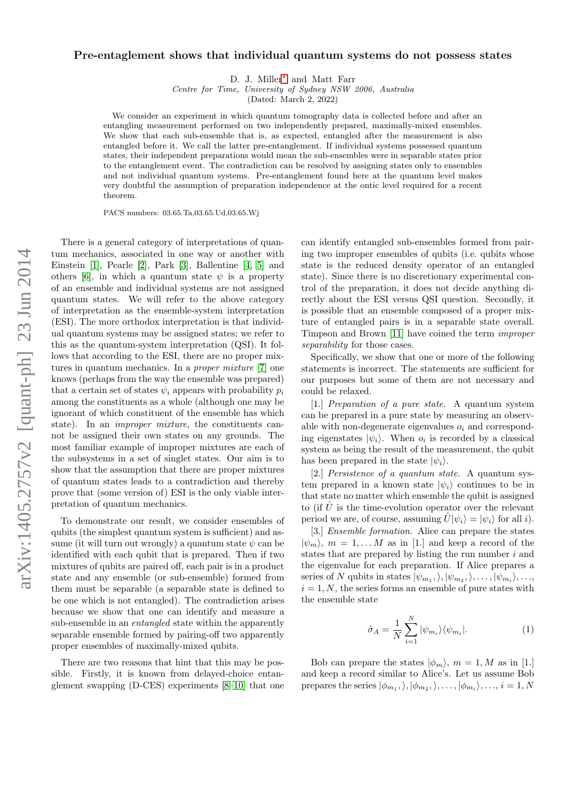## Pre-entaglement shows that individual quantum systems do not possess states

D. J. Miller[∗](#page-3-0) and Matt Farr

Centre for Time, University of Sydney NSW 2006, Australia

(Dated: March 2, 2022)

We consider an experiment in which quantum tomography data is collected before and after an entangling measurement performed on two independently prepared, maximally-mixed ensembles. We show that each sub-ensemble that is, as expected, entangled after the measurement is also entangled before it. We call the latter pre-entanglement. If individual systems possessed quantum states, their independent preparations would mean the sub-ensembles were in separable states prior to the entanglement event. The contradiction can be resolved by assigning states only to ensembles and not individual quantum systems. Pre-entanglement found here at the quantum level makes very doubtful the assumption of preparation independence at the ontic level required for a recent theorem.

PACS numbers: 03.65.Ta,03.65.Ud,03.65.Wj

There is a general category of interpretations of quantum mechanics, associated in one way or another with Einstein [\[1\]](#page-3-1), Pearle [\[2\]](#page-3-2), Park [\[3\]](#page-3-3), Ballentine [\[4,](#page-3-4) [5\]](#page-3-5) and others [\[6\]](#page-3-6), in which a quantum state  $\psi$  is a property of an ensemble and individual systems are not assigned quantum states. We will refer to the above category of interpretation as the ensemble-system interpretation (ESI). The more orthodox interpretation is that individual quantum systems may be assigned states; we refer to this as the quantum-system interpretation (QSI). It follows that according to the ESI, there are no proper mixtures in quantum mechanics. In a *proper mixture* [\[7\]](#page-3-7) one knows (perhaps from the way the ensemble was prepared) that a certain set of states  $\psi_i$  appears with probability  $p_i$ among the constituents as a whole (although one may be ignorant of which constituent of the ensemble has which state). In an improper mixture, the constituents cannot be assigned their own states on any grounds. The most familiar example of improper mixtures are each of the subsystems in a set of singlet states. Our aim is to show that the assumption that there are proper mixtures of quantum states leads to a contradiction and thereby prove that (some version of) ESI is the only viable interpretation of quantum mechanics.

To demonstrate our result, we consider ensembles of qubits (the simplest quantum system is sufficient) and assume (it will turn out wrongly) a quantum state  $\psi$  can be identified with each qubit that is prepared. Then if two mixtures of qubits are paired off, each pair is in a product state and any ensemble (or sub-ensemble) formed from them must be separable (a separable state is defined to be one which is not entangled). The contradiction arises because we show that one can identify and measure a sub-ensemble in an entangled state within the apparently separable ensemble formed by pairing-off two apparently proper ensembles of maximally-mixed qubits.

There are two reasons that hint that this may be possible. Firstly, it is known from delayed-choice entanglement swapping (D-CES) experiments [\[8–](#page-3-8)[10\]](#page-4-0) that one can identify entangled sub-ensembles formed from pairing two improper ensembles of qubits (i.e. qubits whose state is the reduced density operator of an entangled state). Since there is no discretionary experimental control of the preparation, it does not decide anything directly about the ESI versus QSI question. Secondly, it is possible that an ensemble composed of a proper mixture of entangled pairs is in a separable state overall. Timpson and Brown [\[11\]](#page-4-1) have coined the term improper separability for those cases.

Specifically, we show that one or more of the following statements is incorrect. The statements are sufficient for our purposes but some of them are not necessary and could be relaxed.

[1.] Preparation of a pure state. A quantum system can be prepared in a pure state by measuring an observable with non-degenerate eigenvalues  $o_i$  and corresponding eigenstates  $|\psi_i\rangle$ . When  $o_i$  is recorded by a classical system as being the result of the measurement, the qubit has been prepared in the state  $|\psi_i\rangle$ .

[2.] Persistence of a quantum state. A quantum system prepared in a known state  $|\psi_i\rangle$  continues to be in that state no matter which ensemble the qubit is assigned to (if  $\hat{U}$  is the time-evolution operator over the relevant period we are, of course, assuming  $U|\psi_i\rangle = |\psi_i\rangle$  for all i).

[3.] Ensemble formation. Alice can prepare the states  $|\psi_m\rangle$ ,  $m = 1, \ldots M$  as in [1.] and keep a record of the states that are prepared by listing the run number i and the eigenvalue for each preparation. If Alice prepares a series of N qubits in states  $|\psi_{m_1},\rangle, |\psi_{m_2},\rangle, \ldots, |\psi_{m_i}\rangle, \ldots$  $i = 1, N$ , the series forms an ensemble of pure states with the ensemble state

$$
\hat{\sigma}_A = \frac{1}{N} \sum_{i=1}^{N} |\psi_{m_i}\rangle \langle \psi_{m_i}|.
$$
 (1)

Bob can prepare the states  $|\phi_m\rangle$ ,  $m = 1, M$  as in [1.] and keep a record similar to Alice's. Let us assume Bob prepares the series  $|\phi_{m_1},\rangle,|\phi_{m_2},\rangle,\ldots,|\phi_{m_i}\rangle,\ldots,i=1,N$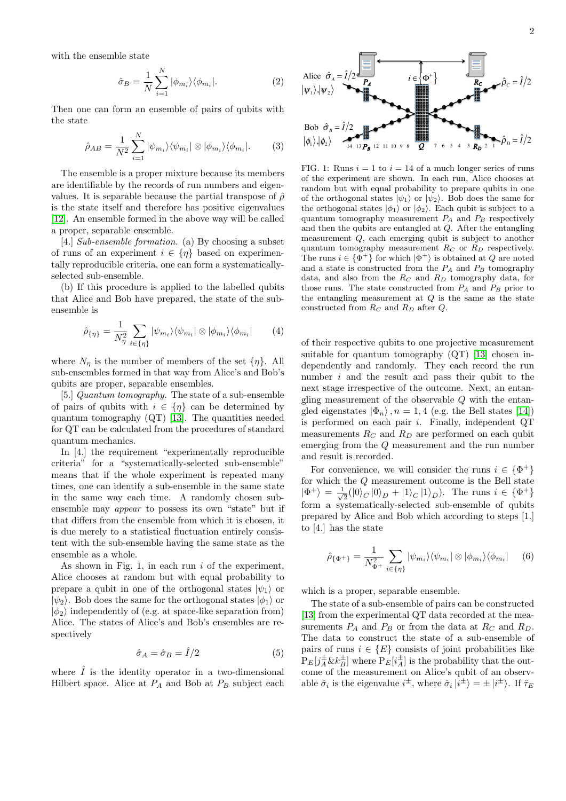with the ensemble state

$$
\hat{\sigma}_B = \frac{1}{N} \sum_{i=1}^{N} |\phi_{m_i}\rangle \langle \phi_{m_i}|.
$$
 (2)

Then one can form an ensemble of pairs of qubits with the state

$$
\hat{\rho}_{AB} = \frac{1}{N^2} \sum_{i=1}^{N} |\psi_{m_i}\rangle \langle \psi_{m_i} | \otimes |\phi_{m_i}\rangle \langle \phi_{m_i} |.
$$
 (3)

The ensemble is a proper mixture because its members are identifiable by the records of run numbers and eigenvalues. It is separable because the partial transpose of  $\hat{\rho}$ is the state itself and therefore has positive eigenvalues [\[12\]](#page-4-2). An ensemble formed in the above way will be called a proper, separable ensemble.

[4.] Sub-ensemble formation. (a) By choosing a subset of runs of an experiment  $i \in \{\eta\}$  based on experimentally reproducible criteria, one can form a systematicallyselected sub-ensemble.

(b) If this procedure is applied to the labelled qubits that Alice and Bob have prepared, the state of the subensemble is

$$
\hat{\rho}_{\{\eta\}} = \frac{1}{N_{\eta}^2} \sum_{i \in \{\eta\}} |\psi_{m_i}\rangle \langle \psi_{m_i}| \otimes |\phi_{m_i}\rangle \langle \phi_{m_i}| \qquad (4)
$$

where  $N_{\eta}$  is the number of members of the set  $\{\eta\}$ . All sub-ensembles formed in that way from Alice's and Bob's qubits are proper, separable ensembles.

[5.] Quantum tomography. The state of a sub-ensemble of pairs of qubits with  $i \in \{\eta\}$  can be determined by quantum tomography (QT) [\[13\]](#page-4-3). The quantities needed for QT can be calculated from the procedures of standard quantum mechanics.

In [4.] the requirement "experimentally reproducible criteria" for a "systematically-selected sub-ensemble" means that if the whole experiment is repeated many times, one can identify a sub-ensemble in the same state in the same way each time. A randomly chosen subensemble may appear to possess its own "state" but if that differs from the ensemble from which it is chosen, it is due merely to a statistical fluctuation entirely consistent with the sub-ensemble having the same state as the ensemble as a whole.

As shown in Fig. 1, in each run  $i$  of the experiment, Alice chooses at random but with equal probability to prepare a qubit in one of the orthogonal states  $|\psi_1\rangle$  or  $|\psi_2\rangle$ . Bob does the same for the orthogonal states  $|\phi_1\rangle$  or  $|\phi_2\rangle$  independently of (e.g. at space-like separation from) Alice. The states of Alice's and Bob's ensembles are respectively

$$
\hat{\sigma}_A = \hat{\sigma}_B = \hat{I}/2 \tag{5}
$$

where  $\hat{I}$  is the identity operator in a two-dimensional



 $\frac{\partial_1 u}{\partial x} = \frac{1}{N^2} e^{i\frac{\pi}{2} \left( \frac{1}{2} \right) \cos \lambda / (\nu_m / 8) \cos \lambda / (\nu_m / 18) \cos \lambda / (\nu_m / 18) \cos \lambda / (\nu_m / 18) \cos \lambda / (\nu_m / 18) \cos \lambda / (\nu_m / 18) \cos \lambda / (\nu_m / 18) \cos \lambda / (\nu_m / 18) \cos \lambda / (\nu_m / 18) \cos \lambda / (\nu_m / 18) \cos \lambda / (\nu_m / 18) \cos \lambda / (\nu_m / 18) \cos \lambda / (\nu_m / 18) \cos \lambda / (\nu$ FIG. 1: Runs  $i = 1$  to  $i = 14$  of a much longer series of runs of the experiment are shown. In each run, Alice chooses at random but with equal probability to prepare qubits in one of the orthogonal states  $|\psi_1\rangle$  or  $|\psi_2\rangle$ . Bob does the same for the orthogonal states  $|\phi_1\rangle$  or  $|\phi_2\rangle$ . Each qubit is subject to a quantum tomography measurement  $P_A$  and  $P_B$  respectively and then the qubits are entangled at Q. After the entangling measurement Q, each emerging qubit is subject to another quantum tomography measurement  $R_C$  or  $R_D$  respectively. The runs  $i \in {\Phi^+}$  for which  $\ket{\Phi^+}$  is obtained at Q are noted and a state is constructed from the  $P_A$  and  $P_B$  tomography data, and also from the  $R_C$  and  $R_D$  tomography data, for those runs. The state constructed from  $P_A$  and  $P_B$  prior to the entangling measurement at  $Q$  is the same as the state constructed from  $R_C$  and  $R_D$  after  $Q$ .

of their respective qubits to one projective measurement suitable for quantum tomography  $(QT)$  [\[13\]](#page-4-3) chosen independently and randomly. They each record the run number  $i$  and the result and pass their qubit to the next stage irrespective of the outcome. Next, an entangling measurement of the observable Q with the entangled eigenstates  $|\Phi_n\rangle$ ,  $n = 1, 4$  (e.g. the Bell states [\[14\]](#page-4-4)) is performed on each pair  $i$ . Finally, independent QT measurements  $R_C$  and  $R_D$  are performed on each qubit emerging from the Q measurement and the run number and result is recorded.

For convenience, we will consider the runs  $i \in {\Phi^+}$ for which the Q measurement outcome is the Bell state  $|\Phi^+\rangle = \frac{1}{4}$  $\frac{1}{2}(|0\rangle_C |0\rangle_D + |1\rangle_C |1\rangle_D)$ . The runs  $i \in {\Phi^+}$ form a systematically-selected sub-ensemble of qubits prepared by Alice and Bob which according to steps [1.] to [4.] has the state

<span id="page-1-0"></span>
$$
\hat{\rho}_{\{\Phi^+\}} = \frac{1}{N_{\Phi^+}^2} \sum_{i \in \{\eta\}} |\psi_{m_i}\rangle\langle\psi_{m_i}| \otimes |\phi_{m_i}\rangle\langle\phi_{m_i}| \qquad (6)
$$

which is a proper, separable ensemble.

The state of a sub-ensemble of pairs can be constructed [\[13\]](#page-4-3) from the experimental QT data recorded at the measurements  $P_A$  and  $P_B$  or from the data at  $R_C$  and  $R_D$ . The data to construct the state of a sub-ensemble of pairs of runs  $i \in \{E\}$  consists of joint probabilities like  $P_E[j_A^{\pm} \& k_B^{\pm}]$  where  $P_E[i_A^{\pm}]$  is the probability that the outcome of the measurement on Alice's qubit of an observable  $\hat{\sigma}_i$  is the eigenvalue  $i^{\pm}$ , where  $\hat{\sigma}_i |i^{\pm}\rangle = \pm |i^{\pm}\rangle$ . If  $\hat{\tau}_E$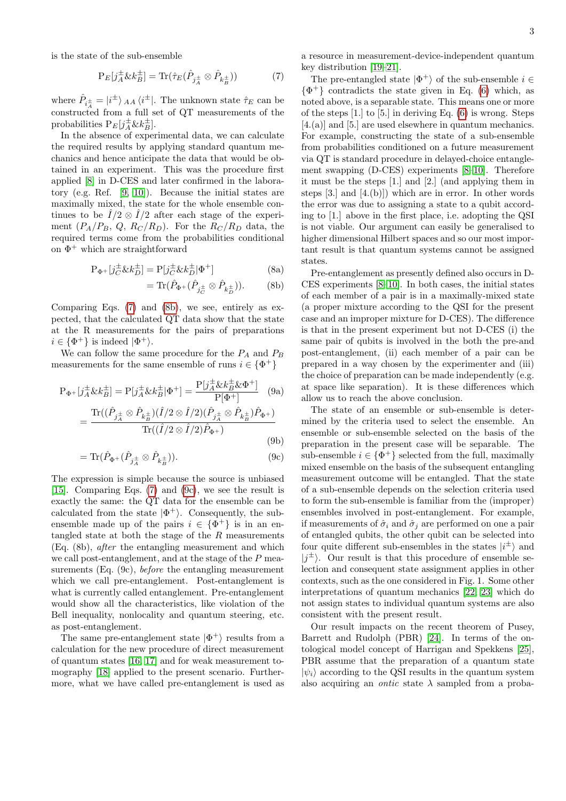is the state of the sub-ensemble

<span id="page-2-0"></span>
$$
\mathcal{P}_E[j_A^{\pm} \& k_B^{\pm}] = \text{Tr}(\hat{\tau}_E(\hat{P}_{j_A^{\pm}} \otimes \hat{P}_{k_B^{\pm}})) \tag{7}
$$

where  $\hat{P}_{i\frac{\pm}{4}} = |i^{\pm}\rangle$   $_{AA} \langle i^{\pm}|$ . The unknown state  $\hat{\tau}_E$  can be constructed from a full set of QT measurements of the probabilities  $P_E[j_A^{\pm} \& k_B^{\pm}]$ .

In the absence of experimental data, we can calculate the required results by applying standard quantum mechanics and hence anticipate the data that would be obtained in an experiment. This was the procedure first applied [\[8\]](#page-3-8) in D-CES and later confirmed in the laboratory (e.g. Ref. [\[9,](#page-3-9) [10\]](#page-4-0)). Because the initial states are maximally mixed, the state for the whole ensemble continues to be  $\hat{I}/2 \otimes \hat{I}/2$  after each stage of the experiment  $(P_A/P_B, Q, R_C/R_D)$ . For the  $R_C/R_D$  data, the required terms come from the probabilities conditional on  $\Phi^+$  which are straightforward

$$
P_{\Phi^+}[j_C^{\pm} \& k_D^{\pm}] = P[j_C^{\pm} \& k_D^{\pm}] \Phi^+]
$$
 (8a)

$$
= \text{Tr}(\hat{P}_{\Phi^+}(\hat{P}_{j_C^{\pm}} \otimes \hat{P}_{k_D^{\pm}})). \tag{8b}
$$

Comparing Eqs. [\(7\)](#page-2-0) and [\(8b\)](#page-2-1), we see, entirely as expected, that the calculated QT data show that the state at the R measurements for the pairs of preparations  $i \in {\Phi^+}$  is indeed  $|\Phi^+\rangle$ .

We can follow the same procedure for the  $P_A$  and  $P_B$ measurements for the same ensemble of runs  $i \in {\Phi^+}$ 

$$
P_{\Phi^+}[j_A^{\pm} \& k_B^{\pm}] = P[j_A^{\pm} \& k_B^{\pm}] \Phi^+ ] = \frac{P[j_A^{\pm} \& k_B^{\pm} \& \Phi^+]}{P[\Phi^+]} \tag{9a}
$$

$$
= \frac{\text{Tr}((\hat{P}_{j_A^{\pm}} \otimes \hat{P}_{k_B^{\pm}})(\hat{I}/2 \otimes \hat{I}/2)(\hat{P}_{j_A^{\pm}} \otimes \hat{P}_{k_B^{\pm}})\hat{P}_{\Phi^+})}{\text{Tr}((\hat{I}/2 \otimes \hat{I}/2)\hat{P}_{\Phi^+})} \tag{9b}
$$

$$
= \text{Tr}(\hat{P}_{\Phi^+}(\hat{P}_{j_A^{\pm}} \otimes \hat{P}_{k_B^{\pm}})). \tag{9c}
$$

The expression is simple because the source is unbiased [\[15\]](#page-4-5). Comparing Eqs. [\(7\)](#page-2-0) and [\(9c\)](#page-2-2), we see the result is exactly the same: the QT data for the ensemble can be calculated from the state  $|\Phi^+\rangle$ . Consequently, the subensemble made up of the pairs  $i \in {\Phi^+}$  is in an entangled state at both the stage of the  $R$  measurements (Eq. (8b), after the entangling measurement and which we call post-entanglement, and at the stage of the P measurements (Eq. (9c), before the entangling measurement which we call pre-entanglement. Post-entanglement is what is currently called entanglement. Pre-entanglement would show all the characteristics, like violation of the Bell inequality, nonlocality and quantum steering, etc. as post-entanglement.

The same pre-entanglement state  $|\Phi^+\rangle$  results from a calculation for the new procedure of direct measurement of quantum states [\[16,](#page-4-6) [17\]](#page-4-7) and for weak measurement tomography [\[18\]](#page-4-8) applied to the present scenario. Furthermore, what we have called pre-entanglement is used as a resource in measurement-device-independent quantum key distribution [\[19–](#page-4-9)[21\]](#page-4-10).

The pre-entangled state  $|\Phi^+\rangle$  of the sub-ensemble  $i \in$  $\{\Phi^+\}$  contradicts the state given in Eq. [\(6\)](#page-1-0) which, as noted above, is a separable state. This means one or more of the steps [1.] to [5.] in deriving Eq. [\(6\)](#page-1-0) is wrong. Steps [4.(a)] and [5.] are used elsewhere in quantum mechanics. For example, constructing the state of a sub-ensemble from probabilities conditioned on a future measurement via QT is standard procedure in delayed-choice entanglement swapping (D-CES) experiments [\[8](#page-3-8)[–10\]](#page-4-0). Therefore it must be the steps [1.] and [2.] (and applying them in steps [3.] and [4.(b)]) which are in error. In other words the error was due to assigning a state to a qubit according to [1.] above in the first place, i.e. adopting the QSI is not viable. Our argument can easily be generalised to higher dimensional Hilbert spaces and so our most important result is that quantum systems cannot be assigned states.

<span id="page-2-1"></span>Pre-entanglement as presently defined also occurs in D-CES experiments [\[8–](#page-3-8)[10\]](#page-4-0). In both cases, the initial states of each member of a pair is in a maximally-mixed state (a proper mixture according to the QSI for the present case and an improper mixture for D-CES). The difference is that in the present experiment but not D-CES (i) the same pair of qubits is involved in the both the pre-and post-entanglement, (ii) each member of a pair can be prepared in a way chosen by the experimenter and (iii) the choice of preparation can be made independently (e.g. at space like separation). It is these differences which allow us to reach the above conclusion.

<span id="page-2-2"></span>The state of an ensemble or sub-ensemble is determined by the criteria used to select the ensemble. An ensemble or sub-ensemble selected on the basis of the preparation in the present case will be separable. The sub-ensemble  $i \in {\Phi^+}$  selected from the full, maximally mixed ensemble on the basis of the subsequent entangling measurement outcome will be entangled. That the state of a sub-ensemble depends on the selection criteria used to form the sub-ensemble is familiar from the (improper) ensembles involved in post-entanglement. For example, if measurements of  $\hat{\sigma}_i$  and  $\hat{\sigma}_j$  are performed on one a pair of entangled qubits, the other qubit can be selected into four quite different sub-ensembles in the states  $|i^{\pm}\rangle$  and  $|j^{\pm}\rangle$ . Our result is that this procedure of ensemble selection and consequent state assignment applies in other contexts, such as the one considered in Fig. 1. Some other interpretations of quantum mechanics [\[22,](#page-4-11) [23\]](#page-4-12) which do not assign states to individual quantum systems are also consistent with the present result.

Our result impacts on the recent theorem of Pusey, Barrett and Rudolph (PBR) [\[24\]](#page-4-13). In terms of the ontological model concept of Harrigan and Spekkens [\[25\]](#page-4-14), PBR assume that the preparation of a quantum state  $|\psi_i\rangle$  according to the QSI results in the quantum system also acquiring an *ontic* state  $\lambda$  sampled from a proba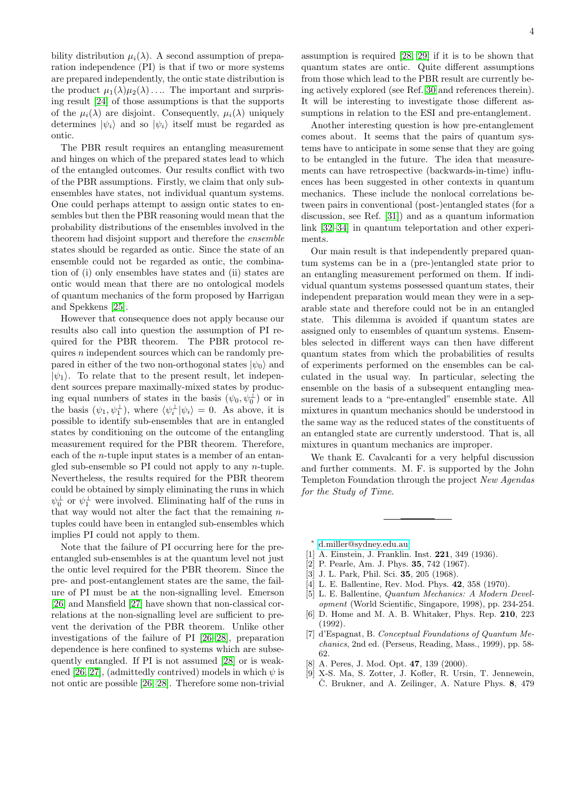bility distribution  $\mu_i(\lambda)$ . A second assumption of preparation independence (PI) is that if two or more systems are prepared independently, the ontic state distribution is the product  $\mu_1(\lambda)\mu_2(\lambda)$ .... The important and surprising result [\[24\]](#page-4-13) of those assumptions is that the supports of the  $\mu_i(\lambda)$  are disjoint. Consequently,  $\mu_i(\lambda)$  uniquely determines  $|\psi_i\rangle$  and so  $|\psi_i\rangle$  itself must be regarded as ontic.

The PBR result requires an entangling measurement and hinges on which of the prepared states lead to which of the entangled outcomes. Our results conflict with two of the PBR assumptions. Firstly, we claim that only subensembles have states, not individual quantum systems. One could perhaps attempt to assign ontic states to ensembles but then the PBR reasoning would mean that the probability distributions of the ensembles involved in the theorem had disjoint support and therefore the ensemble states should be regarded as ontic. Since the state of an ensemble could not be regarded as ontic, the combination of (i) only ensembles have states and (ii) states are ontic would mean that there are no ontological models of quantum mechanics of the form proposed by Harrigan and Spekkens [\[25\]](#page-4-14).

However that consequence does not apply because our results also call into question the assumption of PI required for the PBR theorem. The PBR protocol requires  $n$  independent sources which can be randomly prepared in either of the two non-orthogonal states  $|\psi_0\rangle$  and  $|\psi_1\rangle$ . To relate that to the present result, let independent sources prepare maximally-mixed states by producing equal numbers of states in the basis  $(\psi_0, \psi_0^{\perp})$  or in the basis  $(\psi_1, \psi_1^{\perp}),$  where  $\langle \psi_i^{\perp} | \psi_i \rangle = 0$ . As above, it is possible to identify sub-ensembles that are in entangled states by conditioning on the outcome of the entangling measurement required for the PBR theorem. Therefore, each of the n-tuple input states is a member of an entangled sub-ensemble so PI could not apply to any n-tuple. Nevertheless, the results required for the PBR theorem could be obtained by simply eliminating the runs in which  $\psi_0^{\perp}$  or  $\psi_1^{\perp}$  were involved. Eliminating half of the runs in that way would not alter the fact that the remaining ntuples could have been in entangled sub-ensembles which implies PI could not apply to them.

Note that the failure of PI occurring here for the preentangled sub-ensembles is at the quantum level not just the ontic level required for the PBR theorem. Since the pre- and post-entanglement states are the same, the failure of PI must be at the non-signalling level. Emerson [\[26\]](#page-4-15) and Mansfield [\[27\]](#page-4-16) have shown that non-classical correlations at the non-signalling level are sufficient to prevent the derivation of the PBR theorem. Unlike other investigations of the failure of PI [\[26–](#page-4-15)[28\]](#page-4-17), preparation dependence is here confined to systems which are subsequently entangled. If PI is not assumed [\[28\]](#page-4-17) or is weak-ened [\[26,](#page-4-15) [27\]](#page-4-16), (admittedly contrived) models in which  $\psi$  is not ontic are possible [\[26,](#page-4-15) [28\]](#page-4-17). Therefore some non-trivial assumption is required [\[28,](#page-4-17) [29\]](#page-4-18) if it is to be shown that quantum states are ontic. Quite different assumptions from those which lead to the PBR result are currently being actively explored (see Ref. [30](#page-4-19) and references therein). It will be interesting to investigate those different assumptions in relation to the ESI and pre-entanglement.

Another interesting question is how pre-entanglement comes about. It seems that the pairs of quantum systems have to anticipate in some sense that they are going to be entangled in the future. The idea that measurements can have retrospective (backwards-in-time) influences has been suggested in other contexts in quantum mechanics. These include the nonlocal correlations between pairs in conventional (post-)entangled states (for a discussion, see Ref. [\[31\]](#page-4-20)) and as a quantum information link [\[32–](#page-4-21)[34\]](#page-4-22) in quantum teleportation and other experiments.

Our main result is that independently prepared quantum systems can be in a (pre-)entangled state prior to an entangling measurement performed on them. If individual quantum systems possessed quantum states, their independent preparation would mean they were in a separable state and therefore could not be in an entangled state. This dilemma is avoided if quantum states are assigned only to ensembles of quantum systems. Ensembles selected in different ways can then have different quantum states from which the probabilities of results of experiments performed on the ensembles can be calculated in the usual way. In particular, selecting the ensemble on the basis of a subsequent entangling measurement leads to a "pre-entangled" ensemble state. All mixtures in quantum mechanics should be understood in the same way as the reduced states of the constituents of an entangled state are currently understood. That is, all mixtures in quantum mechanics are improper.

We thank E. Cavalcanti for a very helpful discussion and further comments. M. F. is supported by the John Templeton Foundation through the project New Agendas for the Study of Time.

<span id="page-3-0"></span><sup>∗</sup> [d.miller@sydney.edu.au](mailto:d.miller@sydney.edu.au)

(1992).

- <span id="page-3-1"></span>[1] A. Einstein, J. Franklin. Inst. **221**, 349 (1936).
- <span id="page-3-2"></span>[2] P. Pearle, Am. J. Phys. 35, 742 (1967).
- <span id="page-3-3"></span>[3] J. L. Park, Phil. Sci. 35, 205 (1968).
- <span id="page-3-4"></span>[4] L. E. Ballentine, Rev. Mod. Phys. 42, 358 (1970).
- <span id="page-3-5"></span>[5] L. E. Ballentine, Quantum Mechanics: A Modern Devel-
- <span id="page-3-6"></span>opment (World Scientific, Singapore, 1998), pp. 234-254. [6] D. Home and M. A. B. Whitaker, Phys. Rep. 210, 223
- <span id="page-3-7"></span>[7] d'Espagnat, B. Conceptual Foundations of Quantum Mechanics, 2nd ed. (Perseus, Reading, Mass., 1999), pp. 58- 62.
- <span id="page-3-8"></span>[8] A. Peres, J. Mod. Opt. 47, 139 (2000).
- <span id="page-3-9"></span>[9] X-S. Ma, S. Zotter, J. Kofler, R. Ursin, T. Jennewein,  $\check{C}$ . Brukner, and A. Zeilinger, A. Nature Phys. 8, 479